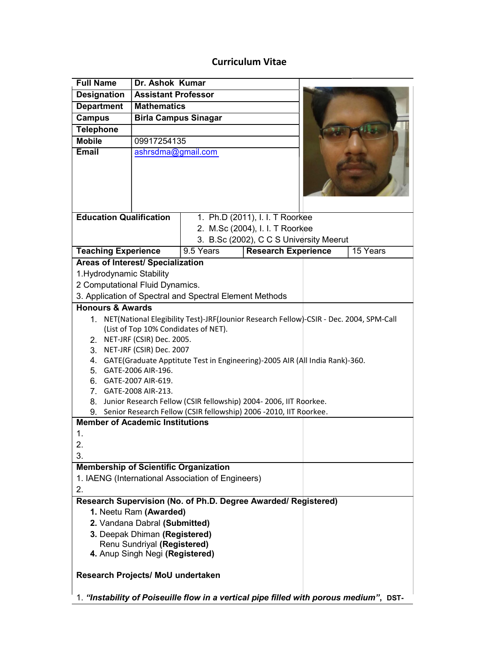# Curriculum Vitae

| <b>Full Name</b>                                                                          | Dr. Ashok Kumar             |                                                     |
|-------------------------------------------------------------------------------------------|-----------------------------|-----------------------------------------------------|
| <b>Designation</b>                                                                        | <b>Assistant Professor</b>  |                                                     |
| <b>Department</b>                                                                         | <b>Mathematics</b>          |                                                     |
| <b>Campus</b>                                                                             | <b>Birla Campus Sinagar</b> |                                                     |
| <b>Telephone</b>                                                                          |                             |                                                     |
| <b>Mobile</b>                                                                             | 09917254135                 |                                                     |
| <b>Email</b>                                                                              | ashrsdma@gmail.com          |                                                     |
|                                                                                           |                             |                                                     |
| <b>Education Qualification</b>                                                            |                             | 1. Ph.D (2011), I. I. T Roorkee                     |
|                                                                                           |                             | 2. M.Sc (2004), I. I. T Roorkee                     |
|                                                                                           |                             | 3. B.Sc (2002), C C S University Meerut             |
| <b>Teaching Experience</b>                                                                |                             | 9.5 Years<br><b>Research Experience</b><br>15 Years |
| <b>Areas of Interest/ Specialization</b>                                                  |                             |                                                     |
| 1. Hydrodynamic Stability                                                                 |                             |                                                     |
| 2 Computational Fluid Dynamics.                                                           |                             |                                                     |
| 3. Application of Spectral and Spectral Element Methods                                   |                             |                                                     |
| <b>Honours &amp; Awards</b>                                                               |                             |                                                     |
| 1. NET(National Elegibility Test)-JRF(Jounior Research Fellow)-CSIR - Dec. 2004, SPM-Call |                             |                                                     |
| (List of Top 10% Condidates of NET).                                                      |                             |                                                     |
| 2. NET-JRF (CSIR) Dec. 2005.                                                              |                             |                                                     |
| 3. NET-JRF (CSIR) Dec. 2007                                                               |                             |                                                     |
| 4. GATE (Graduate Apptitute Test in Engineering)-2005 AIR (All India Rank)-360.           |                             |                                                     |
| 5. GATE-2006 AIR-196.<br>6. GATE-2007 AIR-619.                                            |                             |                                                     |
| 7. GATE-2008 AIR-213.                                                                     |                             |                                                     |
| 8. Junior Research Fellow (CSIR fellowship) 2004-2006, IIT Roorkee.                       |                             |                                                     |
| 9. Senior Research Fellow (CSIR fellowship) 2006 -2010, IIT Roorkee.                      |                             |                                                     |
| <b>Member of Academic Institutions</b>                                                    |                             |                                                     |
| 1.                                                                                        |                             |                                                     |
| 2.                                                                                        |                             |                                                     |
| 3.                                                                                        |                             |                                                     |
| <b>Membership of Scientific Organization</b>                                              |                             |                                                     |
| 1. IAENG (International Association of Engineers)                                         |                             |                                                     |
| 2.                                                                                        |                             |                                                     |
| Research Supervision (No. of Ph.D. Degree Awarded/ Registered)                            |                             |                                                     |
| 1. Neetu Ram (Awarded)                                                                    |                             |                                                     |
| 2. Vandana Dabral (Submitted)                                                             |                             |                                                     |
| 3. Deepak Dhiman (Registered)                                                             |                             |                                                     |
| Renu Sundriyal (Registered)                                                               |                             |                                                     |
| 4. Anup Singh Negi (Registered)                                                           |                             |                                                     |
| Research Projects/ MoU undertaken                                                         |                             |                                                     |
| 1. "Instability of Poiseuille flow in a vertical pipe filled with porous medium", DST-    |                             |                                                     |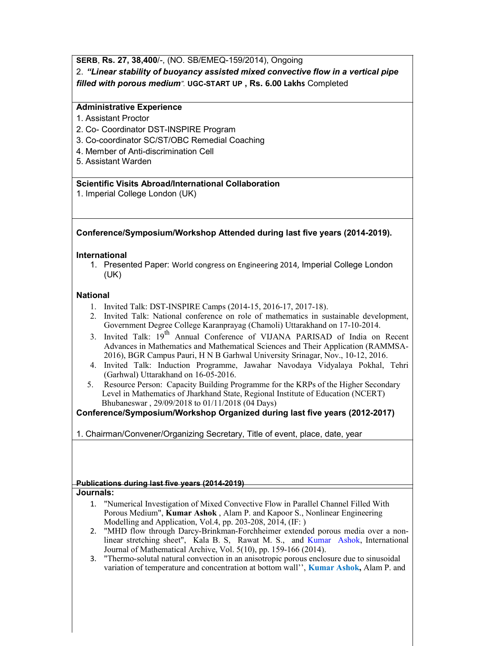# SERB, Rs. 27, 38,400/-, (NO. SB/EMEQ-159/2014), Ongoing

2. "Linear stability of buoyancy assisted mixed convective flow in a vertical pipe filled with porous medium". UGC-START UP , Rs. 6.00 Lakhs Completed

# Administrative Experience

- 1. Assistant Proctor
- 2. Co- Coordinator DST-INSPIRE Program
- 3. Co-coordinator SC/ST/OBC Remedial Coaching
- 4. Member of Anti-discrimination Cell
- 5. Assistant Warden

## Scientific Visits Abroad/International Collaboration

1. Imperial College London (UK)

# Conference/Symposium/Workshop Attended during last five years (2014-2019).

## International

1. Presented Paper: World congress on Engineering 2014, Imperial College London (UK)

## National

- 1. Invited Talk: DST-INSPIRE Camps (2014-15, 2016-17, 2017-18).
- 2. Invited Talk: National conference on role of mathematics in sustainable development, Government Degree College Karanprayag (Chamoli) Uttarakhand on 17-10-2014.
- 3. Invited Talk: 19<sup>th</sup> Annual Conference of VIJANA PARISAD of India on Recent Advances in Mathematics and Mathematical Sciences and Their Application (RAMMSA-2016), BGR Campus Pauri, H N B Garhwal University Srinagar, Nov., 10-12, 2016.
- 4. Invited Talk: Induction Programme, Jawahar Navodaya Vidyalaya Pokhal, Tehri (Garhwal) Uttarakhand on 16-05-2016.
- 5. Resource Person: Capacity Building Programme for the KRPs of the Higher Secondary Level in Mathematics of Jharkhand State, Regional Institute of Education (NCERT) Bhubaneswar , 29/09/2018 to 01/11/2018 (04 Days)

# Conference/Symposium/Workshop Organized during last five years (2012-2017)

1. Chairman/Convener/Organizing Secretary, Title of event, place, date, year

## Publications during last five years (2014-2019)

#### Journals:

- 1. "Numerical Investigation of Mixed Convective Flow in Parallel Channel Filled With Porous Medium", Kumar Ashok , Alam P. and Kapoor S., Nonlinear Engineering Modelling and Application, Vol.4, pp. 203-208, 2014, (IF: )
- 2. "MHD flow through Darcy-Brinkman-Forchheimer extended porous media over a nonlinear stretching sheet", Kala B. S, Rawat M. S., and Kumar Ashok, International Journal of Mathematical Archive, Vol. 5(10), pp. 159-166 (2014).
- 3. "Thermo-solutal natural convection in an anisotropic porous enclosure due to sinusoidal variation of temperature and concentration at bottom wall'', **Kumar Ashok**, Alam P. and